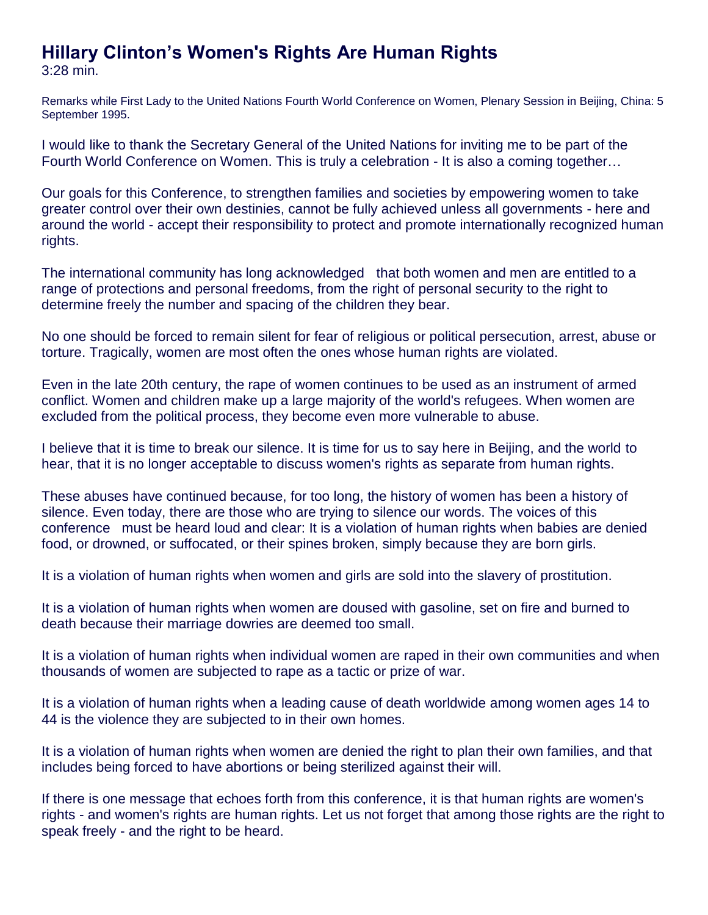## **Hillary Clinton's Women's Rights Are Human Rights** 3:28 min.

Remarks while First Lady to the United Nations Fourth World Conference on Women, Plenary Session in Beijing, China: 5 September 1995.

I would like to thank the Secretary General of the United Nations for inviting me to be part of the Fourth World Conference on Women. This is truly a celebration - It is also a coming together…

Our goals for this Conference, to strengthen families and societies by empowering women to take greater control over their own destinies, cannot be fully achieved unless all governments - here and around the world - accept their responsibility to protect and promote internationally recognized human rights.

The international community has long acknowledged that both women and men are entitled to a range of protections and personal freedoms, from the right of personal security to the right to determine freely the number and spacing of the children they bear.

No one should be forced to remain silent for fear of religious or political persecution, arrest, abuse or torture. Tragically, women are most often the ones whose human rights are violated.

Even in the late 20th century, the rape of women continues to be used as an instrument of armed conflict. Women and children make up a large majority of the world's refugees. When women are excluded from the political process, they become even more vulnerable to abuse.

I believe that it is time to break our silence. It is time for us to say here in Beijing, and the world to hear, that it is no longer acceptable to discuss women's rights as separate from human rights.

These abuses have continued because, for too long, the history of women has been a history of silence. Even today, there are those who are trying to silence our words. The voices of this conference must be heard loud and clear: It is a violation of human rights when babies are denied food, or drowned, or suffocated, or their spines broken, simply because they are born girls.

It is a violation of human rights when women and girls are sold into the slavery of prostitution.

It is a violation of human rights when women are doused with gasoline, set on fire and burned to death because their marriage dowries are deemed too small.

It is a violation of human rights when individual women are raped in their own communities and when thousands of women are subjected to rape as a tactic or prize of war.

It is a violation of human rights when a leading cause of death worldwide among women ages 14 to 44 is the violence they are subjected to in their own homes.

It is a violation of human rights when women are denied the right to plan their own families, and that includes being forced to have abortions or being sterilized against their will.

If there is one message that echoes forth from this conference, it is that human rights are women's rights - and women's rights are human rights. Let us not forget that among those rights are the right to speak freely - and the right to be heard.